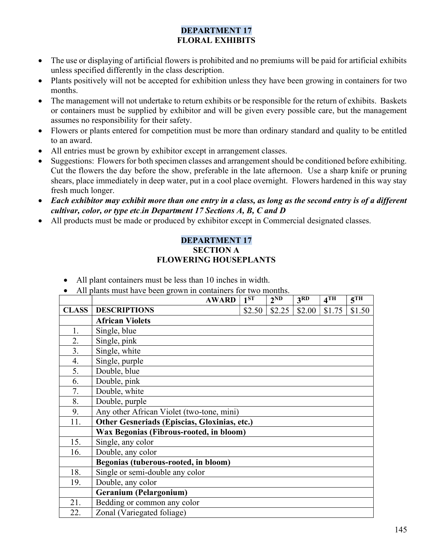#### DEPARTMENT 17 FLORAL EXHIBITS

- The use or displaying of artificial flowers is prohibited and no premiums will be paid for artificial exhibits unless specified differently in the class description.
- Plants positively will not be accepted for exhibition unless they have been growing in containers for two months.
- The management will not undertake to return exhibits or be responsible for the return of exhibits. Baskets or containers must be supplied by exhibitor and will be given every possible care, but the management assumes no responsibility for their safety.
- Flowers or plants entered for competition must be more than ordinary standard and quality to be entitled to an award.
- All entries must be grown by exhibitor except in arrangement classes.
- Suggestions: Flowers for both specimen classes and arrangement should be conditioned before exhibiting. Cut the flowers the day before the show, preferable in the late afternoon. Use a sharp knife or pruning shears, place immediately in deep water, put in a cool place overnight. Flowers hardened in this way stay fresh much longer.
- Each exhibitor may exhibit more than one entry in a class, as long as the second entry is of a different cultivar, color, or type etc.in Department 17 Sections A, B, C and D
- All products must be made or produced by exhibitor except in Commercial designated classes.

#### DEPARTMENT 17 SECTION A FLOWERING HOUSEPLANTS

- All plant containers must be less than 10 inches in width.
- All plants must have been grown in containers for two months.

|              | <b>AWARD</b>                                 | 1 <sub>ST</sub> | 2 <sup>ND</sup> | 3RD    | $4$ TH | $5$ <sup>TH</sup> |
|--------------|----------------------------------------------|-----------------|-----------------|--------|--------|-------------------|
| <b>CLASS</b> | <b>DESCRIPTIONS</b>                          | \$2.50          | \$2.25          | \$2.00 | \$1.75 | \$1.50            |
|              | <b>African Violets</b>                       |                 |                 |        |        |                   |
| 1.           | Single, blue                                 |                 |                 |        |        |                   |
| 2.           | Single, pink                                 |                 |                 |        |        |                   |
| 3.           | Single, white                                |                 |                 |        |        |                   |
| 4.           | Single, purple                               |                 |                 |        |        |                   |
| 5.           | Double, blue                                 |                 |                 |        |        |                   |
| 6.           | Double, pink                                 |                 |                 |        |        |                   |
| 7.           | Double, white                                |                 |                 |        |        |                   |
| 8.           | Double, purple                               |                 |                 |        |        |                   |
| 9.           | Any other African Violet (two-tone, mini)    |                 |                 |        |        |                   |
| 11.          | Other Gesneriads (Episcias, Gloxinias, etc.) |                 |                 |        |        |                   |
|              | Wax Begonias (Fibrous-rooted, in bloom)      |                 |                 |        |        |                   |
| 15.          | Single, any color                            |                 |                 |        |        |                   |
| 16.          | Double, any color                            |                 |                 |        |        |                   |
|              | Begonias (tuberous-rooted, in bloom)         |                 |                 |        |        |                   |
| 18.          | Single or semi-double any color              |                 |                 |        |        |                   |
| 19.          | Double, any color                            |                 |                 |        |        |                   |
|              | Geranium (Pelargonium)                       |                 |                 |        |        |                   |
| 21.          | Bedding or common any color                  |                 |                 |        |        |                   |
| 22.          | Zonal (Variegated foliage)                   |                 |                 |        |        |                   |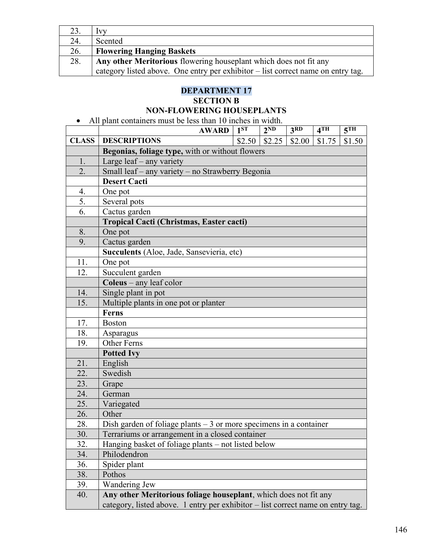|     | <b>VV</b>                                                                        |
|-----|----------------------------------------------------------------------------------|
| 24. | Scented                                                                          |
| 26. | <b>Flowering Hanging Baskets</b>                                                 |
| 28. | Any other Meritorious flowering houseplant which does not fit any                |
|     | category listed above. One entry per exhibitor – list correct name on entry tag. |

## DEPARTMENT 17

### SECTION B

## NON-FLOWERING HOUSEPLANTS

All plant containers must be less than 10 inches in width.

|              | <b>AWARD</b>                                                                    | 1 <sup>ST</sup> | $\overline{2^{ND}}$ | 3 <sup>RD</sup> | 4 <sup>TH</sup> | 5 <sup>TH</sup> |  |  |
|--------------|---------------------------------------------------------------------------------|-----------------|---------------------|-----------------|-----------------|-----------------|--|--|
| <b>CLASS</b> | <b>DESCRIPTIONS</b>                                                             | \$2.50          | \$2.25              | \$2.00          | \$1.75          | \$1.50          |  |  |
|              | Begonias, foliage type, with or without flowers                                 |                 |                     |                 |                 |                 |  |  |
| 1.           | Large leaf - any variety                                                        |                 |                     |                 |                 |                 |  |  |
| 2.           | Small leaf - any variety - no Strawberry Begonia                                |                 |                     |                 |                 |                 |  |  |
|              | <b>Desert Cacti</b>                                                             |                 |                     |                 |                 |                 |  |  |
| 4.           | One pot                                                                         |                 |                     |                 |                 |                 |  |  |
| 5.           | Several pots                                                                    |                 |                     |                 |                 |                 |  |  |
| 6.           | Cactus garden                                                                   |                 |                     |                 |                 |                 |  |  |
|              | <b>Tropical Cacti (Christmas, Easter cacti)</b>                                 |                 |                     |                 |                 |                 |  |  |
| 8.           | One pot                                                                         |                 |                     |                 |                 |                 |  |  |
| 9.           | Cactus garden                                                                   |                 |                     |                 |                 |                 |  |  |
|              | Succulents (Aloe, Jade, Sansevieria, etc)                                       |                 |                     |                 |                 |                 |  |  |
| 11.          | One pot                                                                         |                 |                     |                 |                 |                 |  |  |
| 12.          | Succulent garden                                                                |                 |                     |                 |                 |                 |  |  |
|              | Coleus - any leaf color                                                         |                 |                     |                 |                 |                 |  |  |
| 14.          | Single plant in pot                                                             |                 |                     |                 |                 |                 |  |  |
| 15.          | Multiple plants in one pot or planter                                           |                 |                     |                 |                 |                 |  |  |
|              | Ferns                                                                           |                 |                     |                 |                 |                 |  |  |
| 17.          | <b>Boston</b>                                                                   |                 |                     |                 |                 |                 |  |  |
| 18.          | Asparagus                                                                       |                 |                     |                 |                 |                 |  |  |
| 19.          | <b>Other Ferns</b>                                                              |                 |                     |                 |                 |                 |  |  |
|              | <b>Potted Ivy</b>                                                               |                 |                     |                 |                 |                 |  |  |
| 21.          | English                                                                         |                 |                     |                 |                 |                 |  |  |
| 22.          | Swedish                                                                         |                 |                     |                 |                 |                 |  |  |
| 23.          | Grape                                                                           |                 |                     |                 |                 |                 |  |  |
| 24.          | German                                                                          |                 |                     |                 |                 |                 |  |  |
| 25.          | Variegated                                                                      |                 |                     |                 |                 |                 |  |  |
| 26.          | Other                                                                           |                 |                     |                 |                 |                 |  |  |
| 28.          | Dish garden of foliage plants $-3$ or more specimens in a container             |                 |                     |                 |                 |                 |  |  |
| 30.          | Terrariums or arrangement in a closed container                                 |                 |                     |                 |                 |                 |  |  |
| 32.          | Hanging basket of foliage plants – not listed below                             |                 |                     |                 |                 |                 |  |  |
| 34.          | Philodendron                                                                    |                 |                     |                 |                 |                 |  |  |
| 36.          | Spider plant                                                                    |                 |                     |                 |                 |                 |  |  |
| 38.          | Pothos                                                                          |                 |                     |                 |                 |                 |  |  |
| 39.          | Wandering Jew                                                                   |                 |                     |                 |                 |                 |  |  |
| 40.          | Any other Meritorious foliage houseplant, which does not fit any                |                 |                     |                 |                 |                 |  |  |
|              | category, listed above. 1 entry per exhibitor - list correct name on entry tag. |                 |                     |                 |                 |                 |  |  |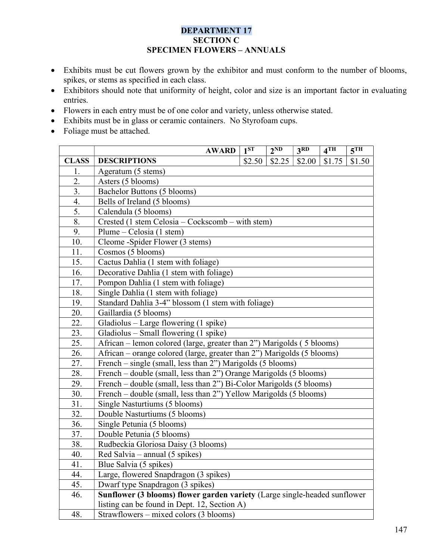#### DEPARTMENT 17 SECTION C SPECIMEN FLOWERS – ANNUALS

- Exhibits must be cut flowers grown by the exhibitor and must conform to the number of blooms, spikes, or stems as specified in each class.
- Exhibitors should note that uniformity of height, color and size is an important factor in evaluating entries.
- Flowers in each entry must be of one color and variety, unless otherwise stated.
- Exhibits must be in glass or ceramic containers. No Styrofoam cups.
- Foliage must be attached.

|              | <b>AWARD</b>                                                              | $1^{ST}$                            | 2 <sup>ND</sup> | 3 <sub>RD</sub> | $4$ TH | 5 <sup>TH</sup> |  |  |  |
|--------------|---------------------------------------------------------------------------|-------------------------------------|-----------------|-----------------|--------|-----------------|--|--|--|
| <b>CLASS</b> | <b>DESCRIPTIONS</b>                                                       | \$2.50                              | \$2.25          | \$2.00          | \$1.75 | \$1.50          |  |  |  |
| 1.           | Ageratum (5 stems)                                                        |                                     |                 |                 |        |                 |  |  |  |
| 2.           | Asters (5 blooms)                                                         |                                     |                 |                 |        |                 |  |  |  |
| 3.           | Bachelor Buttons (5 blooms)                                               |                                     |                 |                 |        |                 |  |  |  |
| 4.           | Bells of Ireland (5 blooms)                                               |                                     |                 |                 |        |                 |  |  |  |
| 5.           | Calendula (5 blooms)                                                      |                                     |                 |                 |        |                 |  |  |  |
| 8.           | Crested (1 stem Celosia – Cockscomb – with stem)                          |                                     |                 |                 |        |                 |  |  |  |
| 9.           | Plume – Celosia (1 stem)                                                  |                                     |                 |                 |        |                 |  |  |  |
| 10.          | Cleome -Spider Flower (3 stems)                                           |                                     |                 |                 |        |                 |  |  |  |
| 11.          | Cosmos (5 blooms)                                                         |                                     |                 |                 |        |                 |  |  |  |
| 15.          |                                                                           | Cactus Dahlia (1 stem with foliage) |                 |                 |        |                 |  |  |  |
| 16.          | Decorative Dahlia (1 stem with foliage)                                   |                                     |                 |                 |        |                 |  |  |  |
| 17.          | Pompon Dahlia (1 stem with foliage)                                       |                                     |                 |                 |        |                 |  |  |  |
| 18.          | Single Dahlia (1 stem with foliage)                                       |                                     |                 |                 |        |                 |  |  |  |
| 19.          | Standard Dahlia 3-4" blossom (1 stem with foliage)                        |                                     |                 |                 |        |                 |  |  |  |
| 20.          |                                                                           | Gaillardia (5 blooms)               |                 |                 |        |                 |  |  |  |
| 22.          | Gladiolus - Large flowering (1 spike)                                     |                                     |                 |                 |        |                 |  |  |  |
| 23.          | Gladiolus – Small flowering (1 spike)                                     |                                     |                 |                 |        |                 |  |  |  |
| 25.          | African – lemon colored (large, greater than 2") Marigolds (5 blooms)     |                                     |                 |                 |        |                 |  |  |  |
| 26.          | African – orange colored (large, greater than 2") Marigolds (5 blooms)    |                                     |                 |                 |        |                 |  |  |  |
| 27.          | French - single (small, less than 2") Marigolds (5 blooms)                |                                     |                 |                 |        |                 |  |  |  |
| 28.          | French – double (small, less than 2") Orange Marigolds (5 blooms)         |                                     |                 |                 |        |                 |  |  |  |
| 29.          | French - double (small, less than 2") Bi-Color Marigolds (5 blooms)       |                                     |                 |                 |        |                 |  |  |  |
| 30.          | French – double (small, less than 2") Yellow Marigolds (5 blooms)         |                                     |                 |                 |        |                 |  |  |  |
| 31.          | Single Nasturtiums (5 blooms)                                             |                                     |                 |                 |        |                 |  |  |  |
| 32.          | Double Nasturtiums (5 blooms)                                             |                                     |                 |                 |        |                 |  |  |  |
| 36.          | Single Petunia (5 blooms)                                                 |                                     |                 |                 |        |                 |  |  |  |
| 37.          | Double Petunia (5 blooms)                                                 |                                     |                 |                 |        |                 |  |  |  |
| 38.          | Rudbeckia Gloriosa Daisy (3 blooms)                                       |                                     |                 |                 |        |                 |  |  |  |
| 40.          | Red Salvia – annual $(5 \text{ spikes})$                                  |                                     |                 |                 |        |                 |  |  |  |
| 41.          | Blue Salvia (5 spikes)                                                    |                                     |                 |                 |        |                 |  |  |  |
| 44.          | Large, flowered Snapdragon (3 spikes)                                     |                                     |                 |                 |        |                 |  |  |  |
| 45.          | Dwarf type Snapdragon (3 spikes)                                          |                                     |                 |                 |        |                 |  |  |  |
| 46.          | Sunflower (3 blooms) flower garden variety (Large single-headed sunflower |                                     |                 |                 |        |                 |  |  |  |
|              | listing can be found in Dept. 12, Section A)                              |                                     |                 |                 |        |                 |  |  |  |
| 48.          | Strawflowers – mixed colors (3 blooms)                                    |                                     |                 |                 |        |                 |  |  |  |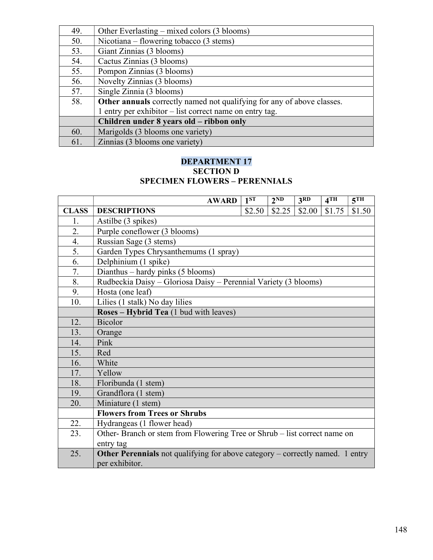| 49. | Other Everlasting – mixed colors (3 blooms)                            |
|-----|------------------------------------------------------------------------|
| 50. | Nicotiana – flowering tobacco (3 stems)                                |
| 53. | Giant Zinnias (3 blooms)                                               |
| 54. | Cactus Zinnias (3 blooms)                                              |
| 55. | Pompon Zinnias (3 blooms)                                              |
| 56. | Novelty Zinnias (3 blooms)                                             |
| 57. | Single Zinnia (3 blooms)                                               |
| 58. | Other annuals correctly named not qualifying for any of above classes. |
|     | 1 entry per exhibitor – list correct name on entry tag.                |
|     | Children under 8 years old – ribbon only                               |
| 60. | Marigolds (3 blooms one variety)                                       |
| 61. | Zinnias (3 blooms one variety)                                         |

#### DEPARTMENT 17 SECTION D SPECIMEN FLOWERS – PERENNIALS

|              | <b>AWARD</b>                                                                         | $1^{ST}$                                                        | 2 <sup>ND</sup> | 3 <sup>RD</sup> | 4TH    | 5 <sup>TH</sup> |  |  |
|--------------|--------------------------------------------------------------------------------------|-----------------------------------------------------------------|-----------------|-----------------|--------|-----------------|--|--|
| <b>CLASS</b> | <b>DESCRIPTIONS</b>                                                                  | \$2.50                                                          | \$2.25          | \$2.00          | \$1.75 | \$1.50          |  |  |
| 1.           | Astilbe (3 spikes)                                                                   |                                                                 |                 |                 |        |                 |  |  |
| 2.           | Purple coneflower (3 blooms)                                                         |                                                                 |                 |                 |        |                 |  |  |
| 4.           | Russian Sage (3 stems)                                                               |                                                                 |                 |                 |        |                 |  |  |
| 5.           | Garden Types Chrysanthemums (1 spray)                                                |                                                                 |                 |                 |        |                 |  |  |
| 6.           | Delphinium (1 spike)                                                                 |                                                                 |                 |                 |        |                 |  |  |
| 7.           | Dianthus – hardy pinks (5 blooms)                                                    |                                                                 |                 |                 |        |                 |  |  |
| 8.           |                                                                                      | Rudbeckia Daisy - Gloriosa Daisy - Perennial Variety (3 blooms) |                 |                 |        |                 |  |  |
| 9.           | Hosta (one leaf)                                                                     |                                                                 |                 |                 |        |                 |  |  |
| 10.          | Lilies (1 stalk) No day lilies                                                       |                                                                 |                 |                 |        |                 |  |  |
|              | Roses - Hybrid Tea (1 bud with leaves)                                               |                                                                 |                 |                 |        |                 |  |  |
| 12.          | <b>Bicolor</b>                                                                       |                                                                 |                 |                 |        |                 |  |  |
| 13.          | Orange                                                                               |                                                                 |                 |                 |        |                 |  |  |
| 14.          | Pink                                                                                 |                                                                 |                 |                 |        |                 |  |  |
| 15.          | Red                                                                                  |                                                                 |                 |                 |        |                 |  |  |
| 16.          | White                                                                                |                                                                 |                 |                 |        |                 |  |  |
| 17.          | Yellow                                                                               |                                                                 |                 |                 |        |                 |  |  |
| 18.          | Floribunda (1 stem)                                                                  |                                                                 |                 |                 |        |                 |  |  |
| 19.          | Grandflora (1 stem)                                                                  |                                                                 |                 |                 |        |                 |  |  |
| 20.          | Miniature (1 stem)                                                                   |                                                                 |                 |                 |        |                 |  |  |
|              | <b>Flowers from Trees or Shrubs</b>                                                  |                                                                 |                 |                 |        |                 |  |  |
| 22.          | Hydrangeas (1 flower head)                                                           |                                                                 |                 |                 |        |                 |  |  |
| 23.          | Other-Branch or stem from Flowering Tree or Shrub – list correct name on             |                                                                 |                 |                 |        |                 |  |  |
|              | entry tag                                                                            |                                                                 |                 |                 |        |                 |  |  |
| 25.          | <b>Other Perennials</b> not qualifying for above category – correctly named. 1 entry |                                                                 |                 |                 |        |                 |  |  |
|              | per exhibitor.                                                                       |                                                                 |                 |                 |        |                 |  |  |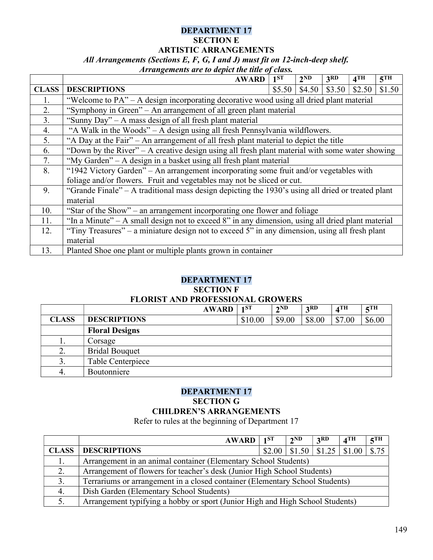#### DEPARTMENT 17 SECTION E ARTISTIC ARRANGEMENTS All Arrangements (Sections E, F, G, I and J) must fit on 12-inch-deep shelf.

#### Arrangements are to depict the title of class.

|              | <b>AWARD</b>                                                                                      | 1 <sup>ST</sup> | 2 <sup>ND</sup> | 3 <sub>RD</sub> | 4 <sup>TH</sup> | 5 <sup>TH</sup> |  |
|--------------|---------------------------------------------------------------------------------------------------|-----------------|-----------------|-----------------|-----------------|-----------------|--|
| <b>CLASS</b> | <b>DESCRIPTIONS</b>                                                                               | \$5.50          | \$4.50          | \$3.50          | \$2.50          | \$1.50          |  |
| 1.           | "Welcome to PA" – A design incorporating decorative wood using all dried plant material           |                 |                 |                 |                 |                 |  |
| 2.           | "Symphony in Green" – An arrangement of all green plant material                                  |                 |                 |                 |                 |                 |  |
| 3.           | "Sunny Day" – A mass design of all fresh plant material                                           |                 |                 |                 |                 |                 |  |
| 4.           | "A Walk in the Woods" – A design using all fresh Pennsylvania wildflowers.                        |                 |                 |                 |                 |                 |  |
| 5.           | "A Day at the Fair" – An arrangement of all fresh plant material to depict the title              |                 |                 |                 |                 |                 |  |
| 6.           | "Down by the River" – A creative design using all fresh plant material with some water showing    |                 |                 |                 |                 |                 |  |
| 7.           | "My Garden" – A design in a basket using all fresh plant material                                 |                 |                 |                 |                 |                 |  |
| 8.           | "1942 Victory Garden" – An arrangement incorporating some fruit and/or vegetables with            |                 |                 |                 |                 |                 |  |
|              | foliage and/or flowers. Fruit and vegetables may not be sliced or cut.                            |                 |                 |                 |                 |                 |  |
| 9.           | "Grande Finale" – A traditional mass design depicting the 1930's using all dried or treated plant |                 |                 |                 |                 |                 |  |
|              | material                                                                                          |                 |                 |                 |                 |                 |  |
| 10.          | "Star of the Show" – an arrangement incorporating one flower and foliage                          |                 |                 |                 |                 |                 |  |
| 11.          | "In a Minute" – A small design not to exceed 8" in any dimension, using all dried plant material  |                 |                 |                 |                 |                 |  |
| 12.          | "Tiny Treasures" – a miniature design not to exceed 5" in any dimension, using all fresh plant    |                 |                 |                 |                 |                 |  |
|              | material                                                                                          |                 |                 |                 |                 |                 |  |
| 13.          | Planted Shoe one plant or multiple plants grown in container                                      |                 |                 |                 |                 |                 |  |

#### DEPARTMENT 17

#### SECTION F

#### FLORIST AND PROFESSIONAL GROWERS

|              | <b>AWARD</b>          | 1 <sub>1</sub> ST | 2 <sup>ND</sup> | 2RD    | 4 <sup>TH</sup> | $5$ TH |
|--------------|-----------------------|-------------------|-----------------|--------|-----------------|--------|
| <b>CLASS</b> | <b>DESCRIPTIONS</b>   | \$10.00           | \$9.00          | \$8.00 | \$7.00          | \$6.00 |
|              | <b>Floral Designs</b> |                   |                 |        |                 |        |
| ī.           | Corsage               |                   |                 |        |                 |        |
| 2.           | <b>Bridal Bouquet</b> |                   |                 |        |                 |        |
| 3.           | Table Centerpiece     |                   |                 |        |                 |        |
| 4.           | Boutonniere           |                   |                 |        |                 |        |

#### DEPARTMENT 17 SECTION G CHILDREN'S ARRANGEMENTS

Refer to rules at the beginning of Department 17

|              | <b>AWARD</b>                                                                  | 1 <sup>ST</sup> | $2^{ND}$ | 3 <sup>RD</sup>                              | $4$ TH | $5$ TH |
|--------------|-------------------------------------------------------------------------------|-----------------|----------|----------------------------------------------|--------|--------|
| <b>CLASS</b> | <b>DESCRIPTIONS</b>                                                           | \$2.00          |          | $\vert$ \$1.50 $\vert$ \$1.25 $\vert$ \$1.00 |        | \$.75  |
|              | Arrangement in an animal container (Elementary School Students)               |                 |          |                                              |        |        |
| 2.           | Arrangement of flowers for teacher's desk (Junior High School Students)       |                 |          |                                              |        |        |
| 3.           | Terrariums or arrangement in a closed container (Elementary School Students)  |                 |          |                                              |        |        |
| 4.           | Dish Garden (Elementary School Students)                                      |                 |          |                                              |        |        |
|              | Arrangement typifying a hobby or sport (Junior High and High School Students) |                 |          |                                              |        |        |